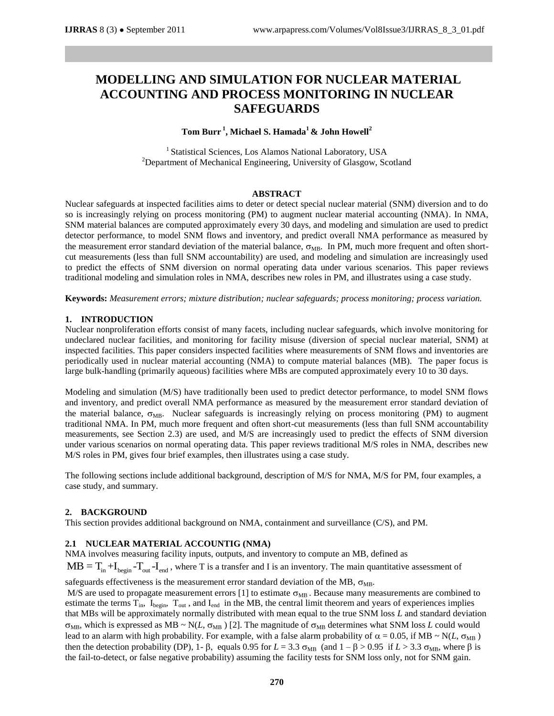# **MODELLING AND SIMULATION FOR NUCLEAR MATERIAL ACCOUNTING AND PROCESS MONITORING IN NUCLEAR SAFEGUARDS**

# **Tom Burr <sup>1</sup> , Michael S. Hamada<sup>1</sup> & John Howell<sup>2</sup>**

<sup>1</sup> Statistical Sciences, Los Alamos National Laboratory, USA  $2$ Department of Mechanical Engineering, University of Glasgow, Scotland

# **ABSTRACT**

Nuclear safeguards at inspected facilities aims to deter or detect special nuclear material (SNM) diversion and to do so is increasingly relying on process monitoring (PM) to augment nuclear material accounting (NMA). In NMA, SNM material balances are computed approximately every 30 days, and modeling and simulation are used to predict detector performance, to model SNM flows and inventory, and predict overall NMA performance as measured by the measurement error standard deviation of the material balance,  $\sigma_{MR}$ . In PM, much more frequent and often shortcut measurements (less than full SNM accountability) are used, and modeling and simulation are increasingly used to predict the effects of SNM diversion on normal operating data under various scenarios. This paper reviews traditional modeling and simulation roles in NMA, describes new roles in PM, and illustrates using a case study.

**Keywords:** *Measurement errors; mixture distribution; nuclear safeguards; process monitoring; process variation.*

# **1. INTRODUCTION**

Nuclear nonproliferation efforts consist of many facets, including nuclear safeguards, which involve monitoring for undeclared nuclear facilities, and monitoring for facility misuse (diversion of special nuclear material, SNM) at inspected facilities. This paper considers inspected facilities where measurements of SNM flows and inventories are periodically used in nuclear material accounting (NMA) to compute material balances (MB). The paper focus is large bulk-handling (primarily aqueous) facilities where MBs are computed approximately every 10 to 30 days.

Modeling and simulation (M/S) have traditionally been used to predict detector performance, to model SNM flows and inventory, and predict overall NMA performance as measured by the measurement error standard deviation of the material balance,  $\sigma_{MB}$ . Nuclear safeguards is increasingly relying on process monitoring (PM) to augment traditional NMA. In PM, much more frequent and often short-cut measurements (less than full SNM accountability measurements, see Section 2.3) are used, and M/S are increasingly used to predict the effects of SNM diversion under various scenarios on normal operating data. This paper reviews traditional M/S roles in NMA, describes new M/S roles in PM, gives four brief examples, then illustrates using a case study.

The following sections include additional background, description of M/S for NMA, M/S for PM, four examples, a case study, and summary.

# **2. BACKGROUND**

This section provides additional background on NMA, containment and surveillance (C/S), and PM.

# **2.1 NUCLEAR MATERIAL ACCOUNTIG (NMA)**

NMA involves measuring facility inputs, outputs, and inventory to compute an MB, defined as  $MB = T_{in} + I_{begin} -T_{out} - I_{end}$ , where T is a transfer and I is an inventory. The main quantitative assessment of

safeguards effectiveness is the measurement error standard deviation of the MB,  $\sigma_{MB}$ .

M/S are used to propagate measurement errors [1] to estimate  $\sigma_{MB}$ . Because many measurements are combined to estimate the terms  $T_{in}$ ,  $I_{begin}$ ,  $I_{begin}$ , and  $I_{end}$  in the MB, the central limit theorem and years of experiences implies that MBs will be approximately normally distributed with mean equal to the true SNM loss *L* and standard deviation  $\sigma_{MB}$ , which is expressed as MB ~ N(*L*,  $\sigma_{MB}$  ) [2]. The magnitude of  $\sigma_{MB}$  determines what SNM loss *L* could would lead to an alarm with high probability. For example, with a false alarm probability of  $\alpha = 0.05$ , if MB ~ N(*L*,  $\sigma_{MB}$ ) then the detection probability (DP), 1-  $\beta$ , equals 0.95 for *L* = 3.3  $\sigma_{MB}$  (and 1 –  $\beta$  > 0.95 if *L* > 3.3  $\sigma_{MB}$ , where  $\beta$  is the fail-to-detect, or false negative probability) assuming the facility tests for SNM loss only, not for SNM gain.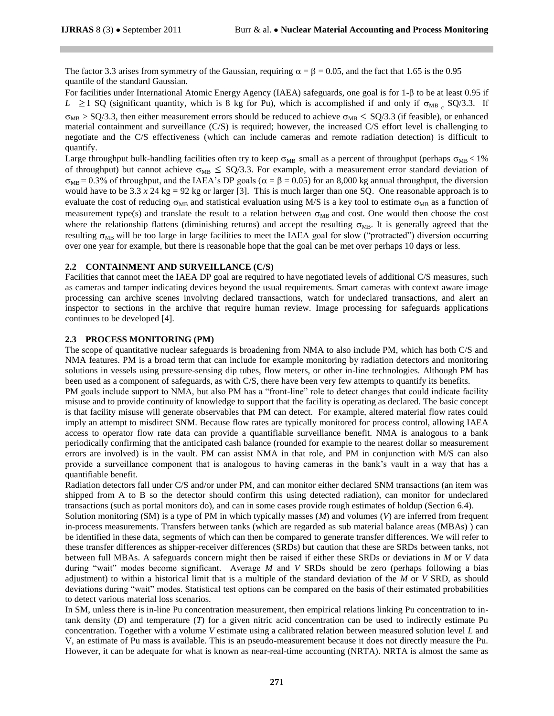The factor 3.3 arises from symmetry of the Gaussian, requiring  $\alpha = \beta = 0.05$ , and the fact that 1.65 is the 0.95 quantile of the standard Gaussian.

For facilities under International Atomic Energy Agency (IAEA) safeguards, one goal is for 1-β to be at least 0.95 if  $L \ge 1$  SQ (significant quantity, which is 8 kg for Pu), which is accomplished if and only if  $\sigma_{MB_c}$  SQ/3.3. If  $\sigma_{MB} > SQ/3.3$ , then either measurement errors should be reduced to achieve  $\sigma_{MB} \leq SQ/3.3$  (if feasible), or enhanced material containment and surveillance (C/S) is required; however, the increased C/S effort level is challenging to negotiate and the C/S effectiveness (which can include cameras and remote radiation detection) is difficult to quantify.

Large throughput bulk-handling facilities often try to keep  $\sigma_{MB}$  small as a percent of throughput (perhaps  $\sigma_{MB}$  < 1% of throughput) but cannot achieve  $\sigma_{MB} \leq SQ/3.3$ . For example, with a measurement error standard deviation of  $\sigma_{MB} = 0.3\%$  of throughput, and the IAEA's DP goals ( $\alpha = \beta = 0.05$ ) for an 8,000 kg annual throughput, the diversion would have to be 3.3  $x$  24 kg = 92 kg or larger [3]. This is much larger than one SQ. One reasonable approach is to evaluate the cost of reducing  $\sigma_{MB}$  and statistical evaluation using M/S is a key tool to estimate  $\sigma_{MB}$  as a function of measurement type(s) and translate the result to a relation between  $\sigma_{MB}$  and cost. One would then choose the cost where the relationship flattens (diminishing returns) and accept the resulting  $\sigma_{MB}$ . It is generally agreed that the resulting  $\sigma_{MB}$  will be too large in large facilities to meet the IAEA goal for slow ("protracted") diversion occurring over one year for example, but there is reasonable hope that the goal can be met over perhaps 10 days or less.

# **2.2 CONTAINMENT AND SURVEILLANCE (C/S)**

Facilities that cannot meet the IAEA DP goal are required to have negotiated levels of additional C/S measures, such as cameras and tamper indicating devices beyond the usual requirements. Smart cameras with context aware image processing can archive scenes involving declared transactions, watch for undeclared transactions, and alert an inspector to sections in the archive that require human review. Image processing for safeguards applications continues to be developed [4].

# **2.3 PROCESS MONITORING (PM)**

The scope of quantitative nuclear safeguards is broadening from NMA to also include PM, which has both C/S and NMA features. PM is a broad term that can include for example monitoring by radiation detectors and monitoring solutions in vessels using pressure-sensing dip tubes, flow meters, or other in-line technologies. Although PM has been used as a component of safeguards, as with C/S, there have been very few attempts to quantify its benefits.

PM goals include support to NMA, but also PM has a "front-line" role to detect changes that could indicate facility misuse and to provide continuity of knowledge to support that the facility is operating as declared. The basic concept is that facility misuse will generate observables that PM can detect. For example, altered material flow rates could imply an attempt to misdirect SNM. Because flow rates are typically monitored for process control, allowing IAEA access to operator flow rate data can provide a quantifiable surveillance benefit. NMA is analogous to a bank periodically confirming that the anticipated cash balance (rounded for example to the nearest dollar so measurement errors are involved) is in the vault. PM can assist NMA in that role, and PM in conjunction with M/S can also provide a surveillance component that is analogous to having cameras in the bank's vault in a way that has a quantifiable benefit.

Radiation detectors fall under C/S and/or under PM, and can monitor either declared SNM transactions (an item was shipped from A to B so the detector should confirm this using detected radiation), can monitor for undeclared transactions (such as portal monitors do), and can in some cases provide rough estimates of holdup (Section 6.4).

Solution monitoring (SM) is a type of PM in which typically masses (*M*) and volumes (*V*) are inferred from frequent in-process measurements. Transfers between tanks (which are regarded as sub material balance areas (MBAs) ) can be identified in these data, segments of which can then be compared to generate transfer differences. We will refer to these transfer differences as shipper-receiver differences (SRDs) but caution that these are SRDs between tanks, not between full MBAs. A safeguards concern might then be raised if either these SRDs or deviations in *M* or *V* data during "wait" modes become significant. Average *M* and *V* SRDs should be zero (perhaps following a bias adjustment) to within a historical limit that is a multiple of the standard deviation of the *M* or *V* SRD, as should deviations during "wait" modes. Statistical test options can be compared on the basis of their estimated probabilities to detect various material loss scenarios.

In SM, unless there is in-line Pu concentration measurement, then empirical relations linking Pu concentration to intank density (*D*) and temperature (*T*) for a given nitric acid concentration can be used to indirectly estimate Pu concentration. Together with a volume *V* estimate using a calibrated relation between measured solution level *L* and V, an estimate of Pu mass is available. This is an pseudo-measurement because it does not directly measure the Pu. However, it can be adequate for what is known as near-real-time accounting (NRTA). NRTA is almost the same as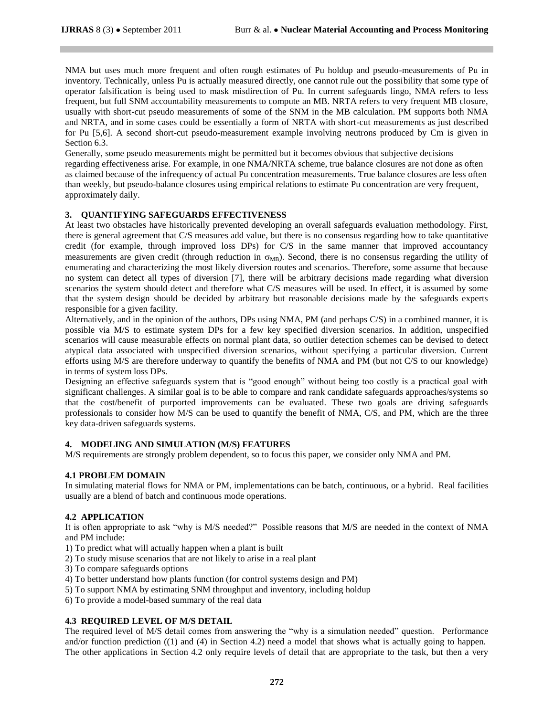NMA but uses much more frequent and often rough estimates of Pu holdup and pseudo-measurements of Pu in inventory. Technically, unless Pu is actually measured directly, one cannot rule out the possibility that some type of operator falsification is being used to mask misdirection of Pu. In current safeguards lingo, NMA refers to less frequent, but full SNM accountability measurements to compute an MB. NRTA refers to very frequent MB closure, usually with short-cut pseudo measurements of some of the SNM in the MB calculation. PM supports both NMA and NRTA, and in some cases could be essentially a form of NRTA with short-cut measurements as just described for Pu [5,6]. A second short-cut pseudo-measurement example involving neutrons produced by Cm is given in Section 6.3.

Generally, some pseudo measurements might be permitted but it becomes obvious that subjective decisions

regarding effectiveness arise. For example, in one NMA/NRTA scheme, true balance closures are not done as often as claimed because of the infrequency of actual Pu concentration measurements. True balance closures are less often than weekly, but pseudo-balance closures using empirical relations to estimate Pu concentration are very frequent, approximately daily.

# **3. QUANTIFYING SAFEGUARDS EFFECTIVENESS**

At least two obstacles have historically prevented developing an overall safeguards evaluation methodology. First, there is general agreement that C/S measures add value, but there is no consensus regarding how to take quantitative credit (for example, through improved loss DPs) for C/S in the same manner that improved accountancy measurements are given credit (through reduction in  $\sigma_{MR}$ ). Second, there is no consensus regarding the utility of enumerating and characterizing the most likely diversion routes and scenarios. Therefore, some assume that because no system can detect all types of diversion [7], there will be arbitrary decisions made regarding what diversion scenarios the system should detect and therefore what C/S measures will be used. In effect, it is assumed by some that the system design should be decided by arbitrary but reasonable decisions made by the safeguards experts responsible for a given facility.

Alternatively, and in the opinion of the authors, DPs using NMA, PM (and perhaps C/S) in a combined manner, it is possible via M/S to estimate system DPs for a few key specified diversion scenarios. In addition, unspecified scenarios will cause measurable effects on normal plant data, so outlier detection schemes can be devised to detect atypical data associated with unspecified diversion scenarios, without specifying a particular diversion. Current efforts using M/S are therefore underway to quantify the benefits of NMA and PM (but not C/S to our knowledge) in terms of system loss DPs.

Designing an effective safeguards system that is "good enough" without being too costly is a practical goal with significant challenges. A similar goal is to be able to compare and rank candidate safeguards approaches/systems so that the cost/benefit of purported improvements can be evaluated. These two goals are driving safeguards professionals to consider how M/S can be used to quantify the benefit of NMA, C/S, and PM, which are the three key data-driven safeguards systems.

# **4. MODELING AND SIMULATION (M/S) FEATURES**

M/S requirements are strongly problem dependent, so to focus this paper, we consider only NMA and PM.

# **4.1 PROBLEM DOMAIN**

In simulating material flows for NMA or PM, implementations can be batch, continuous, or a hybrid. Real facilities usually are a blend of batch and continuous mode operations.

# **4.2 APPLICATION**

It is often appropriate to ask "why is M/S needed?" Possible reasons that M/S are needed in the context of NMA and PM include:

- 1) To predict what will actually happen when a plant is built
- 2) To study misuse scenarios that are not likely to arise in a real plant
- 3) To compare safeguards options
- 4) To better understand how plants function (for control systems design and PM)
- 5) To support NMA by estimating SNM throughput and inventory, including holdup
- 6) To provide a model-based summary of the real data

# **4.3 REQUIRED LEVEL OF M/S DETAIL**

The required level of M/S detail comes from answering the "why is a simulation needed" question. Performance and/or function prediction ((1) and (4) in Section 4.2) need a model that shows what is actually going to happen. The other applications in Section 4.2 only require levels of detail that are appropriate to the task, but then a very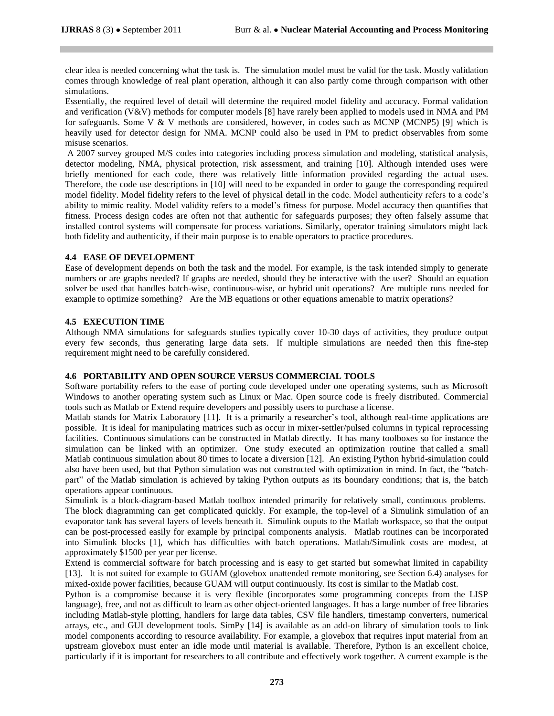clear idea is needed concerning what the task is. The simulation model must be valid for the task. Mostly validation comes through knowledge of real plant operation, although it can also partly come through comparison with other simulations.

Essentially, the required level of detail will determine the required model fidelity and accuracy. Formal validation and verification (V&V) methods for computer models [8] have rarely been applied to models used in NMA and PM for safeguards. Some V & V methods are considered, however, in codes such as MCNP (MCNP5) [9] which is heavily used for detector design for NMA. MCNP could also be used in PM to predict observables from some misuse scenarios.

A 2007 survey grouped M/S codes into categories including process simulation and modeling, statistical analysis, detector modeling, NMA, physical protection, risk assessment, and training [10]. Although intended uses were briefly mentioned for each code, there was relatively little information provided regarding the actual uses. Therefore, the code use descriptions in [10] will need to be expanded in order to gauge the corresponding required model fidelity. Model fidelity refers to the level of physical detail in the code. Model authenticity refers to a code's ability to mimic reality. Model validity refers to a model's fitness for purpose. Model accuracy then quantifies that fitness. Process design codes are often not that authentic for safeguards purposes; they often falsely assume that installed control systems will compensate for process variations. Similarly, operator training simulators might lack both fidelity and authenticity, if their main purpose is to enable operators to practice procedures.

# **4.4 EASE OF DEVELOPMENT**

Ease of development depends on both the task and the model. For example, is the task intended simply to generate numbers or are graphs needed? If graphs are needed, should they be interactive with the user? Should an equation solver be used that handles batch-wise, continuous-wise, or hybrid unit operations? Are multiple runs needed for example to optimize something? Are the MB equations or other equations amenable to matrix operations?

# **4.5 EXECUTION TIME**

Although NMA simulations for safeguards studies typically cover 10-30 days of activities, they produce output every few seconds, thus generating large data sets. If multiple simulations are needed then this fine-step requirement might need to be carefully considered.

# **4.6 PORTABILITY AND OPEN SOURCE VERSUS COMMERCIAL TOOLS**

Software portability refers to the ease of porting code developed under one operating systems, such as Microsoft Windows to another operating system such as Linux or Mac. Open source code is freely distributed. Commercial tools such as Matlab or Extend require developers and possibly users to purchase a license.

Matlab stands for Matrix Laboratory [11]. It is a primarily a researcher's tool, although real-time applications are possible. It is ideal for manipulating matrices such as occur in mixer-settler/pulsed columns in typical reprocessing facilities. Continuous simulations can be constructed in Matlab directly. It has many toolboxes so for instance the simulation can be linked with an optimizer. One study executed an optimization routine that called a small Matlab continuous simulation about 80 times to locate a diversion [12]. An existing Python hybrid-simulation could also have been used, but that Python simulation was not constructed with optimization in mind. In fact, the "batchpart" of the Matlab simulation is achieved by taking Python outputs as its boundary conditions; that is, the batch operations appear continuous.

Simulink is a block-diagram-based Matlab toolbox intended primarily for relatively small, continuous problems. The block diagramming can get complicated quickly. For example, the top-level of a Simulink simulation of an evaporator tank has several layers of levels beneath it. Simulink ouputs to the Matlab workspace, so that the output can be post-processed easily for example by principal components analysis. Matlab routines can be incorporated into Simulink blocks [1], which has difficulties with batch operations. Matlab/Simulink costs are modest, at approximately \$1500 per year per license.

Extend is commercial software for batch processing and is easy to get started but somewhat limited in capability [13]. It is not suited for example to GUAM (glovebox unattended remote monitoring, see Section 6.4) analyses for mixed-oxide power facilities, because GUAM will output continuously. Its cost is similar to the Matlab cost.

Python is a compromise because it is very flexible (incorporates some programming concepts from the LISP language), free, and not as difficult to learn as other object-oriented languages. It has a large number of free libraries including Matlab-style plotting, handlers for large data tables, CSV file handlers, timestamp converters, numerical arrays, etc., and GUI development tools. SimPy [14] is available as an add-on library of simulation tools to link model components according to resource availability. For example, a glovebox that requires input material from an upstream glovebox must enter an idle mode until material is available. Therefore, Python is an excellent choice, particularly if it is important for researchers to all contribute and effectively work together. A current example is the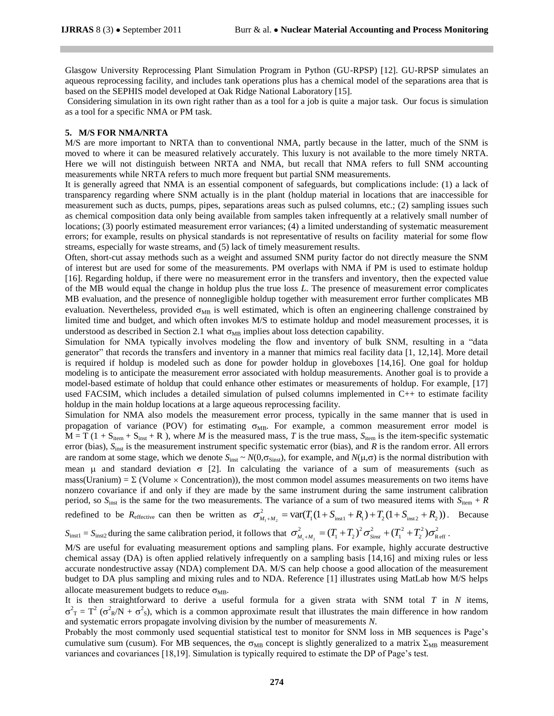Glasgow University Reprocessing Plant Simulation Program in Python (GU-RPSP) [12]. GU-RPSP simulates an aqueous reprocessing facility, and includes tank operations plus has a chemical model of the separations area that is based on the SEPHIS model developed at Oak Ridge National Laboratory [15].

Considering simulation in its own right rather than as a tool for a job is quite a major task. Our focus is simulation as a tool for a specific NMA or PM task.

#### **5. M/S FOR NMA/NRTA**

M/S are more important to NRTA than to conventional NMA, partly because in the latter, much of the SNM is moved to where it can be measured relatively accurately. This luxury is not available to the more timely NRTA. Here we will not distinguish between NRTA and NMA, but recall that NMA refers to full SNM accounting measurements while NRTA refers to much more frequent but partial SNM measurements.

It is generally agreed that NMA is an essential component of safeguards, but complications include: (1) a lack of transparency regarding where SNM actually is in the plant (holdup material in locations that are inaccessible for measurement such as ducts, pumps, pipes, separations areas such as pulsed columns, etc.; (2) sampling issues such as chemical composition data only being available from samples taken infrequently at a relatively small number of locations; (3) poorly estimated measurement error variances; (4) a limited understanding of systematic measurement errors; for example, results on physical standards is not representative of results on facility material for some flow streams, especially for waste streams, and (5) lack of timely measurement results.

Often, short-cut assay methods such as a weight and assumed SNM purity factor do not directly measure the SNM of interest but are used for some of the measurements. PM overlaps with NMA if PM is used to estimate holdup [16]. Regarding holdup, if there were no measurement error in the transfers and inventory, then the expected value of the MB would equal the change in holdup plus the true loss *L*. The presence of measurement error complicates MB evaluation, and the presence of nonnegligible holdup together with measurement error further complicates MB evaluation. Nevertheless, provided  $\sigma_{MB}$  is well estimated, which is often an engineering challenge constrained by limited time and budget, and which often invokes M/S to estimate holdup and model measurement processes, it is understood as described in Section 2.1 what  $\sigma_{MB}$  implies about loss detection capability.

Simulation for NMA typically involves modeling the flow and inventory of bulk SNM, resulting in a "data generator" that records the transfers and inventory in a manner that mimics real facility data [1, 12,14]. More detail is required if holdup is modeled such as done for powder holdup in gloveboxes [14,16]. One goal for holdup modeling is to anticipate the measurement error associated with holdup measurements. Another goal is to provide a model-based estimate of holdup that could enhance other estimates or measurements of holdup. For example, [17] used FACSIM, which includes a detailed simulation of pulsed columns implemented in C++ to estimate facility holdup in the main holdup locations at a large aqueous reprocessing facility.

Simulation for NMA also models the measurement error process, typically in the same manner that is used in propagation of variance (POV) for estimating  $\sigma_{MB}$ . For example, a common measurement error model is  $M = T (1 + S<sub>item</sub> + S<sub>inst</sub> + R)$ , where *M* is the measured mass, *T* is the true mass,  $S<sub>item</sub>$  is the item-specific systematic error (bias),  $S<sub>inst</sub>$  is the measurement instrument specific systematic error (bias), and *R* is the random error. All errors are random at some stage, which we denote  $S_{inst} \sim N(0, \sigma_{Sinst})$ , for example, and  $N(\mu, \sigma)$  is the normal distribution with mean  $\mu$  and standard deviation  $\sigma$  [2]. In calculating the variance of a sum of measurements (such as mass(Uranium) =  $\Sigma$  (Volume  $\times$  Concentration)), the most common model assumes measurements on two items have nonzero covariance if and only if they are made by the same instrument during the same instrument calibration period, so  $S_{\text{inst}}$  is the same for the two measurements. The variance of a sum of two measured items with  $S_{\text{item}} + R$ 1 inst1 1 2 inst 2 2 var( (1 ) (1 )) *M M T S R T S R* . Because

redefined to be  $R_{\text{effective}}$  can then be written as  $\sigma_{M_1+M_2}^2$ val( $I_1$ (1+ $S_{inst1}$ + $N_1$ )+ $I_2$ (1+ $S_{inst2}$ + $N_2$ )).<br>  $\sigma_{M_1+M_2}^2 = (T_1 + T_2)^2 \sigma_{Sinst}^2 + (T_1^2 + T_2^2) \sigma_{Ref}^2$ .

 $S_{\text{inst1}} = S_{\text{inst2}}$  during the same calibration period, it follows that  $\sigma_{M_1 + M_2}^2$ 

M/S are useful for evaluating measurement options and sampling plans. For example, highly accurate destructive chemical assay (DA) is often applied relatively infrequently on a sampling basis [14,16] and mixing rules or less accurate nondestructive assay (NDA) complement DA. M/S can help choose a good allocation of the measurement budget to DA plus sampling and mixing rules and to NDA. Reference [1] illustrates using MatLab how M/S helps allocate measurement budgets to reduce  $\sigma_{MB}$ .

It is then straightforward to derive a useful formula for a given strata with SNM total *T* in *N* items,  $\sigma^2$ <sub>T</sub> = T<sup>2</sup> ( $\sigma^2$ <sub>R</sub>/N +  $\sigma^2$ <sub>S</sub>), which is a common approximate result that illustrates the main difference in how random and systematic errors propagate involving division by the number of measurements *N*.

Probably the most commonly used sequential statistical test to monitor for SNM loss in MB sequences is Page's cumulative sum (cusum). For MB sequences, the  $\sigma_{MB}$  concept is slightly generalized to a matrix  $\Sigma_{MB}$  measurement variances and covariances [18,19]. Simulation is typically required to estimate the DP of Page's test.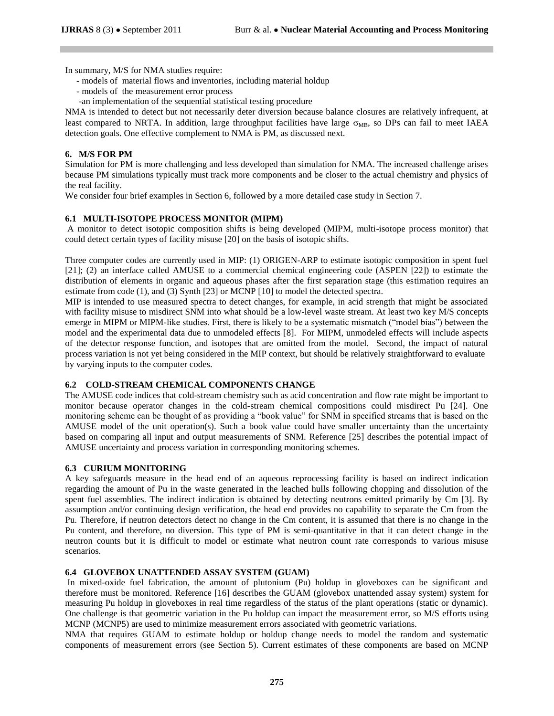In summary, M/S for NMA studies require:

- models of material flows and inventories, including material holdup
- models of the measurement error process
- -an implementation of the sequential statistical testing procedure

NMA is intended to detect but not necessarily deter diversion because balance closures are relatively infrequent, at least compared to NRTA. In addition, large throughput facilities have large  $\sigma_{MB}$ , so DPs can fail to meet IAEA detection goals. One effective complement to NMA is PM, as discussed next.

# **6. M/S FOR PM**

Simulation for PM is more challenging and less developed than simulation for NMA. The increased challenge arises because PM simulations typically must track more components and be closer to the actual chemistry and physics of the real facility.

We consider four brief examples in Section 6, followed by a more detailed case study in Section 7.

# **6.1 MULTI-ISOTOPE PROCESS MONITOR (MIPM)**

A monitor to detect isotopic composition shifts is being developed (MIPM, multi-isotope process monitor) that could detect certain types of facility misuse [20] on the basis of isotopic shifts.

Three computer codes are currently used in MIP: (1) ORIGEN-ARP to estimate isotopic composition in spent fuel [21]; (2) an interface called AMUSE to a commercial chemical engineering code (ASPEN [22]) to estimate the distribution of elements in organic and aqueous phases after the first separation stage (this estimation requires an estimate from code (1), and (3) Synth [23] or MCNP [10] to model the detected spectra.

MIP is intended to use measured spectra to detect changes, for example, in acid strength that might be associated with facility misuse to misdirect SNM into what should be a low-level waste stream. At least two key M/S concepts emerge in MIPM or MIPM-like studies. First, there is likely to be a systematic mismatch ("model bias") between the model and the experimental data due to unmodeled effects [8]. For MIPM, unmodeled effects will include aspects of the detector response function, and isotopes that are omitted from the model. Second, the impact of natural process variation is not yet being considered in the MIP context, but should be relatively straightforward to evaluate by varying inputs to the computer codes.

# **6.2 COLD-STREAM CHEMICAL COMPONENTS CHANGE**

The AMUSE code indices that cold-stream chemistry such as acid concentration and flow rate might be important to monitor because operator changes in the cold-stream chemical compositions could misdirect Pu [24]. One monitoring scheme can be thought of as providing a "book value" for SNM in specified streams that is based on the AMUSE model of the unit operation(s). Such a book value could have smaller uncertainty than the uncertainty based on comparing all input and output measurements of SNM. Reference [25] describes the potential impact of AMUSE uncertainty and process variation in corresponding monitoring schemes.

# **6.3 CURIUM MONITORING**

A key safeguards measure in the head end of an aqueous reprocessing facility is based on indirect indication regarding the amount of Pu in the waste generated in the leached hulls following chopping and dissolution of the spent fuel assemblies. The indirect indication is obtained by detecting neutrons emitted primarily by Cm [3]. By assumption and/or continuing design verification, the head end provides no capability to separate the Cm from the Pu. Therefore, if neutron detectors detect no change in the Cm content, it is assumed that there is no change in the Pu content, and therefore, no diversion. This type of PM is semi-quantitative in that it can detect change in the neutron counts but it is difficult to model or estimate what neutron count rate corresponds to various misuse scenarios.

# **6.4 GLOVEBOX UNATTENDED ASSAY SYSTEM (GUAM)**

In mixed-oxide fuel fabrication, the amount of plutonium (Pu) holdup in gloveboxes can be significant and therefore must be monitored. Reference [16] describes the GUAM (glovebox unattended assay system) system for measuring Pu holdup in gloveboxes in real time regardless of the status of the plant operations (static or dynamic). One challenge is that geometric variation in the Pu holdup can impact the measurement error, so M/S efforts using MCNP (MCNP5) are used to minimize measurement errors associated with geometric variations.

NMA that requires GUAM to estimate holdup or holdup change needs to model the random and systematic components of measurement errors (see Section 5). Current estimates of these components are based on MCNP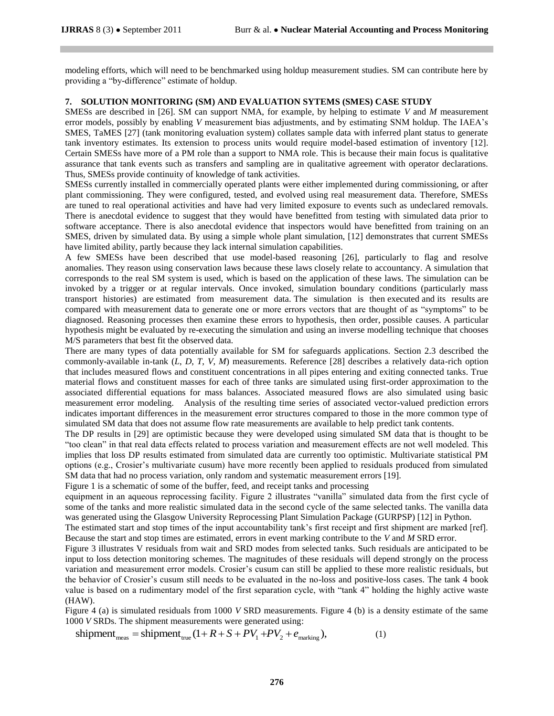modeling efforts, which will need to be benchmarked using holdup measurement studies. SM can contribute here by providing a "by-difference" estimate of holdup.

# **7. SOLUTION MONITORING (SM) AND EVALUATION SYTEMS (SMES) CASE STUDY**

SMESs are described in [26]. SM can support NMA, for example, by helping to estimate *V* and *M* measurement error models, possibly by enabling *V* measurement bias adjustments, and by estimating SNM holdup. The IAEA's SMES, TaMES [27] (tank monitoring evaluation system) collates sample data with inferred plant status to generate tank inventory estimates. Its extension to process units would require model-based estimation of inventory [12]. Certain SMESs have more of a PM role than a support to NMA role. This is because their main focus is qualitative assurance that tank events such as transfers and sampling are in qualitative agreement with operator declarations. Thus, SMESs provide continuity of knowledge of tank activities.

SMESs currently installed in commercially operated plants were either implemented during commissioning, or after plant commissioning. They were configured, tested, and evolved using real measurement data. Therefore, SMESs are tuned to real operational activities and have had very limited exposure to events such as undeclared removals. There is anecdotal evidence to suggest that they would have benefitted from testing with simulated data prior to software acceptance. There is also anecdotal evidence that inspectors would have benefitted from training on an SMES, driven by simulated data. By using a simple whole plant simulation, [12] demonstrates that current SMESs have limited ability, partly because they lack internal simulation capabilities.

A few SMESs have been described that use model-based reasoning [26], particularly to flag and resolve anomalies. They reason using conservation laws because these laws closely relate to accountancy. A simulation that corresponds to the real SM system is used, which is based on the application of these laws. The simulation can be invoked by a trigger or at regular intervals. Once invoked, simulation boundary conditions (particularly mass transport histories) are estimated from measurement data. The simulation is then executed and its results are compared with measurement data to generate one or more errors vectors that are thought of as "symptoms" to be diagnosed. Reasoning processes then examine these errors to hypothesis, then order, possible causes. A particular hypothesis might be evaluated by re-executing the simulation and using an inverse modelling technique that chooses M/S parameters that best fit the observed data.

There are many types of data potentially available for SM for safeguards applications. Section 2.3 described the commonly-available in-tank (*L*, *D*, *T*, *V*, *M*) measurements. Reference [28] describes a relatively data-rich option that includes measured flows and constituent concentrations in all pipes entering and exiting connected tanks. True material flows and constituent masses for each of three tanks are simulated using first-order approximation to the associated differential equations for mass balances. Associated measured flows are also simulated using basic measurement error modeling. Analysis of the resulting time series of associated vector-valued prediction errors indicates important differences in the measurement error structures compared to those in the more common type of simulated SM data that does not assume flow rate measurements are available to help predict tank contents.

The DP results in [29] are optimistic because they were developed using simulated SM data that is thought to be "too clean" in that real data effects related to process variation and measurement effects are not well modeled. This implies that loss DP results estimated from simulated data are currently too optimistic. Multivariate statistical PM options (e.g., Crosier's multivariate cusum) have more recently been applied to residuals produced from simulated SM data that had no process variation, only random and systematic measurement errors [19].

Figure 1 is a schematic of some of the buffer, feed, and receipt tanks and processing

equipment in an aqueous reprocessing facility. Figure 2 illustrates "vanilla" simulated data from the first cycle of some of the tanks and more realistic simulated data in the second cycle of the same selected tanks. The vanilla data was generated using the Glasgow University Reprocessing Plant Simulation Package (GURPSP) [12] in Python.

The estimated start and stop times of the input accountability tank's first receipt and first shipment are marked [ref]. Because the start and stop times are estimated, errors in event marking contribute to the *V* and *M* SRD error.

Figure 3 illustrates V residuals from wait and SRD modes from selected tanks. Such residuals are anticipated to be input to loss detection monitoring schemes. The magnitudes of these residuals will depend strongly on the process variation and measurement error models. Crosier's cusum can still be applied to these more realistic residuals, but the behavior of Crosier's cusum still needs to be evaluated in the no-loss and positive-loss cases. The tank 4 book value is based on a rudimentary model of the first separation cycle, with "tank 4" holding the highly active waste (HAW).

Figure 4 (a) is simulated residuals from 1000 *V* SRD measurements. Figure 4 (b) is a density estimate of the same 1000 *V* SRDs. The shipment measurements were generated using:

shipment<sub>meas</sub> = shipment<sub>true</sub>  $(1 + R + S + PV_1 + PV_2 + e_{\text{marking}})$ , (1)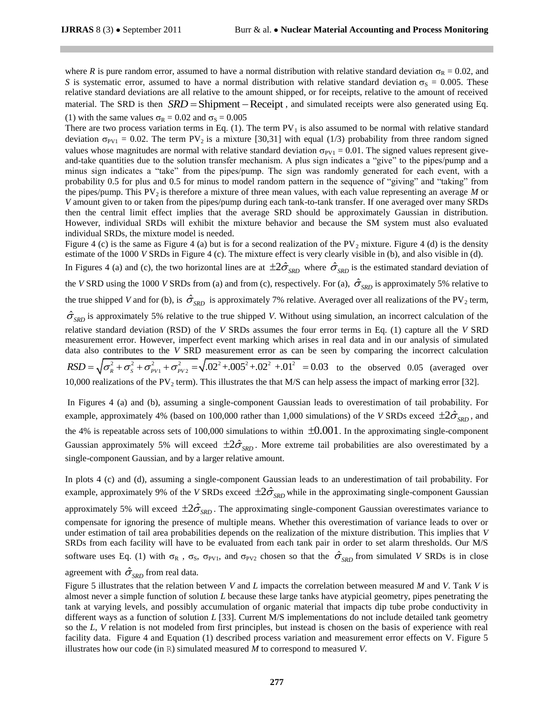where *R* is pure random error, assumed to have a normal distribution with relative standard deviation  $\sigma_R = 0.02$ , and *S* is systematic error, assumed to have a normal distribution with relative standard deviation  $\sigma_S = 0.005$ . These relative standard deviations are all relative to the amount shipped, or for receipts, relative to the amount of received relative standard deviations are all relative to the amount shipped, or for receipts, relative to the amount of received<br>material. The SRD is then  $SRD =$ Shipment – Receipt, and simulated receipts were also generated using E (1) with the same values  $\sigma_R = 0.02$  and  $\sigma_S = 0.005$ 

There are two process variation terms in Eq. (1). The term  $PV_1$  is also assumed to be normal with relative standard deviation  $\sigma_{\text{PV1}} = 0.02$ . The term PV<sub>2</sub> is a mixture [30,31] with equal (1/3) probability from three random signed values whose magnitudes are normal with relative standard deviation  $\sigma_{\text{PV1}} = 0.01$ . The signed values represent giveand-take quantities due to the solution transfer mechanism. A plus sign indicates a "give" to the pipes/pump and a minus sign indicates a "take" from the pipes/pump. The sign was randomly generated for each event, with a probability 0.5 for plus and 0.5 for minus to model random pattern in the sequence of "giving" and "taking" from the pipes/pump. This PV2 is therefore a mixture of three mean values, with each value representing an average *M* or *V* amount given to or taken from the pipes/pump during each tank-to-tank transfer. If one averaged over many SRDs then the central limit effect implies that the average SRD should be approximately Gaussian in distribution. However, individual SRDs will exhibit the mixture behavior and because the SM system must also evaluated individual SRDs, the mixture model is needed.

Figure 4 (c) is the same as Figure 4 (a) but is for a second realization of the PV<sub>2</sub> mixture. Figure 4 (d) is the density estimate of the 1000 *V* SRDs in Figure 4 (c). The mixture effect is very clearly visible in (b), and also visible in (d).

In Figures 4 (a) and (c), the two horizontal lines are at  $\pm 2\hat{\sigma}_{SRD}$  where  $\hat{\sigma}_{SRD}$  is the estimated standard deviation of

the *V* SRD using the 1000 *V* SRDs from (a) and from (c), respectively. For (a),  $\hat{\sigma}_{SRD}$  is approximately 5% relative to the true shipped *V* and for (b), is  $\hat{\sigma}_{SRD}$  is approximately 7% relative. Averaged over all realizations of the PV<sub>2</sub> term,

 $\hat{\sigma}_{SRD}$  is approximately 5% relative to the true shipped *V*. Without using simulation, an incorrect calculation of the relative standard deviation (RSD) of the *V* SRDs assumes the four error terms in Eq. (1) capture all the *V* SRD measurement error. However, imperfect event marking which arises in real data and in our analysis of simulated data also contributes to the *V* SRD measurement error as can be seen by comparing the incorrect calculation ntributes to the *V* SRD measurement error as c<br>  $\frac{2}{\pi} + \sigma_0^2 + \sigma_{\text{max}}^2 + \sigma_{\text{max}}^2 = \sqrt{(0.2^2 + 0.005^2 + 0.002^2 + 0.01^2)}$ measurement error. However, imperfect event marking which arises in real data and in our analysis of simulated<br>data also contributes to the *V* SRD measurement error as can be seen by comparing the incorrect calculation<br>10,000 realizations of the PV<sub>2</sub> term). This illustrates the that M/S can help assess the impact of marking error [32].

In Figures 4 (a) and (b), assuming a single-component Gaussian leads to overestimation of tail probability. For example, approximately 4% (based on 100,000 rather than 1,000 simulations) of the *V* SRDs exceed  $\pm 2\hat{\sigma}_{SRD}$ , and the 4% is repeatable across sets of 100,000 simulations to within  $\pm 0.001$ . In the approximating single-component Gaussian approximately 5% will exceed  $\pm 2\hat{\sigma}_{SRD}$ . More extreme tail probabilities are also overestimated by a single-component Gaussian, and by a larger relative amount.

In plots 4 (c) and (d), assuming a single-component Gaussian leads to an underestimation of tail probability. For example, approximately 9% of the *V* SRDs exceed  $\pm 2\hat{\sigma}_{SRD}$  while in the approximating single-component Gaussian approximately 5% will exceed  $\pm 2\hat{\sigma}_{SRD}$ . The approximating single-component Gaussian overestimates variance to compensate for ignoring the presence of multiple means. Whether this overestimation of variance leads to over or under estimation of tail area probabilities depends on the realization of the mixture distribution. This implies that *V* SRDs from each facility will have to be evaluated from each tank pair in order to set alarm thresholds. Our M/S software uses Eq. (1) with  $\sigma_R$ ,  $\sigma_S$ ,  $\sigma_{PV1}$ , and  $\sigma_{PV2}$  chosen so that the  $\hat{\sigma}_{SRD}$  from simulated *V* SRDs is in close agreement with  $\hat{\sigma}_{SRD}$  from real data.

Figure 5 illustrates that the relation between *V* and *L* impacts the correlation between measured *M* and *V*. Tank *V* is almost never a simple function of solution *L* because these large tanks have atypicial geometry, pipes penetrating the tank at varying levels, and possibly accumulation of organic material that impacts dip tube probe conductivity in different ways as a function of solution *L* [33]. Current M/S implementations do not include detailed tank geometry so the *L*, *V* relation is not modeled from first principles, but instead is chosen on the basis of experience with real facility data. Figure 4 and Equation (1) described process variation and measurement error effects on V. Figure 5 illustrates how our code (in R) simulated measured *M* to correspond to measured *V*.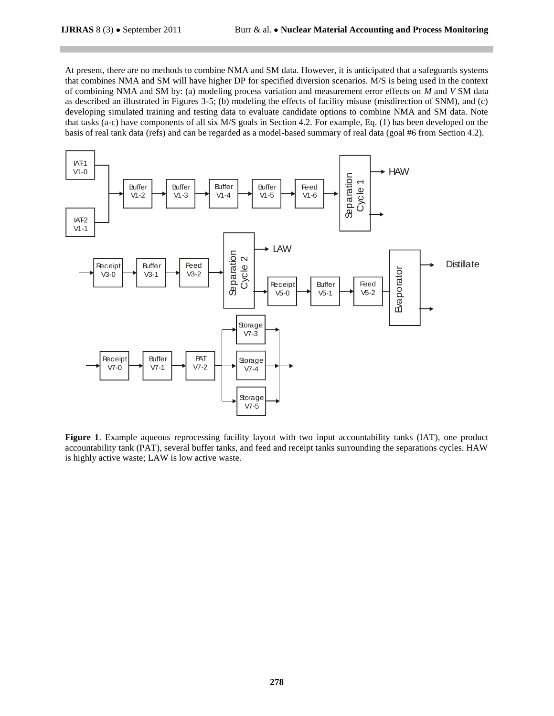At present, there are no methods to combine NMA and SM data. However, it is anticipated that a safeguards systems that combines NMA and SM will have higher DP for specified diversion scenarios. M/S is being used in the context of combining NMA and SM by: (a) modeling process variation and measurement error effects on *M* and *V* SM data as described an illustrated in Figures 3-5; (b) modeling the effects of facility misuse (misdirection of SNM), and (c) developing simulated training and testing data to evaluate candidate options to combine NMA and SM data. Note that tasks (a-c) have components of all six M/S goals in Section 4.2. For example, Eq. (1) has been developed on the basis of real tank data (refs) and can be regarded as a model-based summary of real data (goal #6 from Section 4.2).



**Figure 1**. Example aqueous reprocessing facility layout with two input accountability tanks (IAT), one product accountability tank (PAT), several buffer tanks, and feed and receipt tanks surrounding the separations cycles. HAW is highly active waste; LAW is low active waste.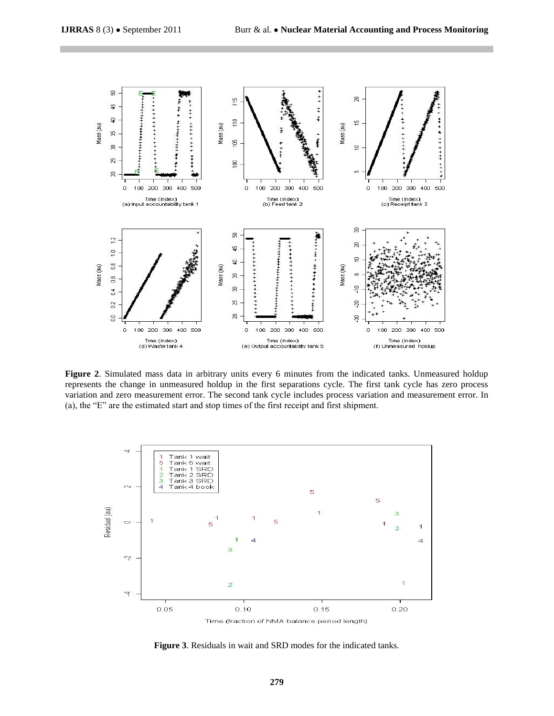

**Figure 2**. Simulated mass data in arbitrary units every 6 minutes from the indicated tanks. Unmeasured holdup represents the change in unmeasured holdup in the first separations cycle. The first tank cycle has zero process variation and zero measurement error. The second tank cycle includes process variation and measurement error. In (a), the "E" are the estimated start and stop times of the first receipt and first shipment.



**Figure 3**. Residuals in wait and SRD modes for the indicated tanks.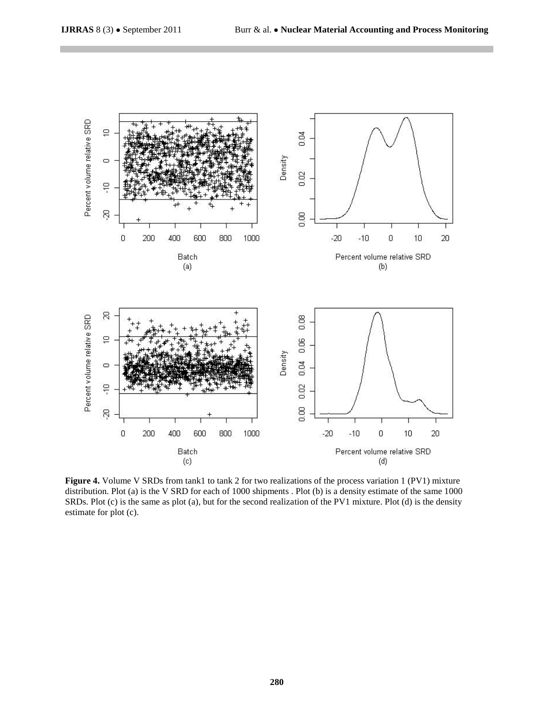

**Figure 4.** Volume V SRDs from tank1 to tank 2 for two realizations of the process variation 1 (PV1) mixture distribution. Plot (a) is the V SRD for each of 1000 shipments . Plot (b) is a density estimate of the same 1000 SRDs. Plot (c) is the same as plot (a), but for the second realization of the PV1 mixture. Plot (d) is the density estimate for plot (c).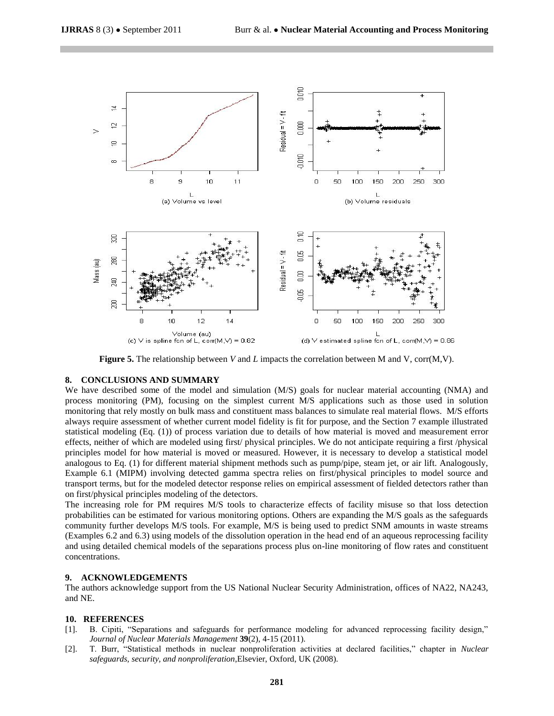

**Figure 5.** The relationship between *V* and *L* impacts the correlation between M and V, corr(M,V).

#### **8. CONCLUSIONS AND SUMMARY**

We have described some of the model and simulation (M/S) goals for nuclear material accounting (NMA) and process monitoring (PM), focusing on the simplest current M/S applications such as those used in solution monitoring that rely mostly on bulk mass and constituent mass balances to simulate real material flows. M/S efforts always require assessment of whether current model fidelity is fit for purpose, and the Section 7 example illustrated statistical modeling (Eq. (1)) of process variation due to details of how material is moved and measurement error effects, neither of which are modeled using first/ physical principles. We do not anticipate requiring a first /physical principles model for how material is moved or measured. However, it is necessary to develop a statistical model analogous to Eq. (1) for different material shipment methods such as pump/pipe, steam jet, or air lift. Analogously, Example 6.1 (MIPM) involving detected gamma spectra relies on first/physical principles to model source and transport terms, but for the modeled detector response relies on empirical assessment of fielded detectors rather than on first/physical principles modeling of the detectors.

The increasing role for PM requires M/S tools to characterize effects of facility misuse so that loss detection probabilities can be estimated for various monitoring options. Others are expanding the M/S goals as the safeguards community further develops M/S tools. For example, M/S is being used to predict SNM amounts in waste streams (Examples 6.2 and 6.3) using models of the dissolution operation in the head end of an aqueous reprocessing facility and using detailed chemical models of the separations process plus on-line monitoring of flow rates and constituent concentrations.

#### **9. ACKNOWLEDGEMENTS**

The authors acknowledge support from the US National Nuclear Security Administration, offices of NA22, NA243, and NE.

#### **10. REFERENCES**

- [1]. B. Cipiti, "Separations and safeguards for performance modeling for advanced reprocessing facility design," *Journal of Nuclear Materials Management* **39**(2), 4-15 (2011).
- [2]. T. Burr, "Statistical methods in nuclear nonproliferation activities at declared facilities," chapter in *Nuclear safeguards, security, and nonproliferation*,Elsevier, Oxford, UK (2008).